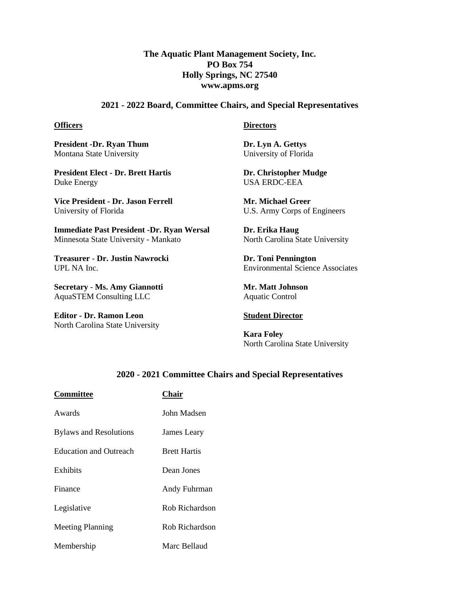# **The Aquatic Plant Management Society, Inc. PO Box 754 Holly Springs, NC 27540 www.apms.org**

### **2021 - 2022 Board, Committee Chairs, and Special Representatives**

#### **Officers**

**President -Dr. Ryan Thum** Montana State University

**President Elect - Dr. Brett Hartis** Duke Energy

**Vice President - Dr. Jason Ferrell** University of Florida

**Immediate Past President -Dr. Ryan Wersal** Minnesota State University - Mankato

**Treasurer** - **Dr. Justin Nawrocki** UPL NA Inc.

**Secretary** - **Ms. Amy Giannotti** AquaSTEM Consulting LLC

**Editor - Dr. Ramon Leon** North Carolina State University

#### **Directors**

**Dr. Lyn A. Gettys**  University of Florida

**Dr. Christopher Mudge** USA ERDC-EEA

**Mr. Michael Greer** U.S. Army Corps of Engineers

**Dr. Erika Haug** North Carolina State University

**Dr. Toni Pennington** Environmental Science Associates

**Mr. Matt Johnson** Aquatic Control

# **Student Director**

**Kara Foley** North Carolina State University

# **2020 - 2021 Committee Chairs and Special Representatives**

| <b>Committee</b>              | <b>Chair</b>        |
|-------------------------------|---------------------|
| Awards                        | John Madsen         |
| <b>Bylaws and Resolutions</b> | James Leary         |
| <b>Education and Outreach</b> | <b>Brett Hartis</b> |
| Exhibits                      | Dean Jones          |
| Finance                       | Andy Fuhrman        |
| Legislative                   | Rob Richardson      |
| <b>Meeting Planning</b>       | Rob Richardson      |
| Membership                    | Marc Bellaud        |